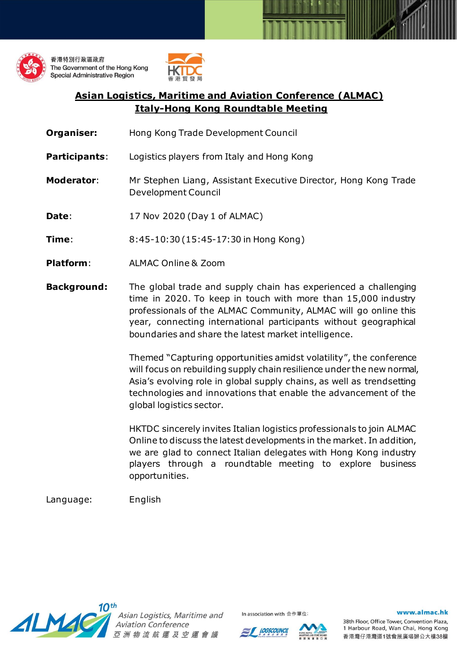



## **Asian Logistics, Maritime and Aviation Conference (ALMAC) Italy-Hong Kong Roundtable Meeting**

- **Organiser:** Hong Kong Trade Development Council
- **Participants**: Logistics players from Italy and Hong Kong
- **Moderator**: Mr Stephen Liang, Assistant Executive Director, Hong Kong Trade Development Council
- **Date:** 17 Nov 2020 (Day 1 of ALMAC)
- **Time**: 8:45-10:30 (15:45-17:30 in Hong Kong)
- **Platform**: ALMAC Online & Zoom
- **Background:** The global trade and supply chain has experienced a challenging time in 2020. To keep in touch with more than 15,000 industry professionals of the ALMAC Community, ALMAC will go online this year, connecting international participants without geographical boundaries and share the latest market intelligence.

Themed "Capturing opportunities amidst volatility", the conference will focus on rebuilding supply chain resilience under the new normal, Asia's evolving role in global supply chains, as well as trendsetting technologies and innovations that enable the advancement of the global logistics sector.

HKTDC sincerely invites Italian logistics professionals to join ALMAC Online to discuss the latest developments in the market. In addition, we are glad to connect Italian delegates with Hong Kong industry players through a roundtable meeting to explore business opportunities.

Language: English



Asian Logistics, Maritime and **Aviation Conference** 亞 洲 物 流 航 運 及 空 運 會 議



In association with 合作單位



## www.almac.hk

38th Floor, Office Tower, Convention Plaza, 1 Harbour Road, Wan Chai, Hong Kong 香港灣仔港灣道1號會展廣場辦公大樓38樓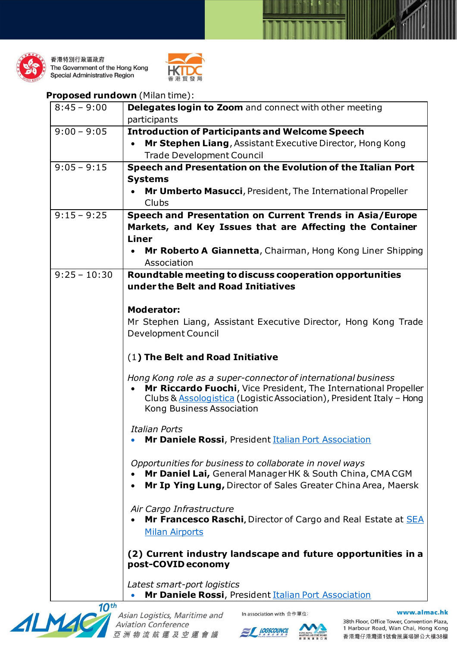

香港特別行政區政府 The Government of the Hong Kong **Special Administrative Region** 



## **Proposed rundown** (Milan time):

| participants<br>$9:00 - 9:05$<br><b>Introduction of Participants and Welcome Speech</b><br>Mr Stephen Liang, Assistant Executive Director, Hong Kong<br><b>Trade Development Council</b><br>$9:05 - 9:15$<br>Speech and Presentation on the Evolution of the Italian Port<br><b>Systems</b><br>Mr Umberto Masucci, President, The International Propeller<br>Clubs<br>$9:15 - 9:25$<br>Speech and Presentation on Current Trends in Asia/Europe<br>Markets, and Key Issues that are Affecting the Container<br><b>Liner</b><br>Mr Roberto A Giannetta, Chairman, Hong Kong Liner Shipping<br>Association<br>$9:25 - 10:30$<br>Roundtable meeting to discuss cooperation opportunities<br>under the Belt and Road Initiatives<br><b>Moderator:</b><br>Mr Stephen Liang, Assistant Executive Director, Hong Kong Trade<br>Development Council<br>(1) The Belt and Road Initiative<br>Hong Kong role as a super-connector of international business<br>Mr Riccardo Fuochi, Vice President, The International Propeller<br>Clubs & Assologistica (Logistic Association), President Italy - Hong<br>Kong Business Association<br><b>Italian Ports</b><br>Mr Daniele Rossi, President Italian Port Association<br>Opportunities for business to collaborate in novel ways<br>Mr Daniel Lai, General Manager HK & South China, CMA CGM<br>Mr Ip Ying Lung, Director of Sales Greater China Area, Maersk<br>Air Cargo Infrastructure<br>Mr Francesco Raschi, Director of Cargo and Real Estate at SEA<br><b>Milan Airports</b><br>(2) Current industry landscape and future opportunities in a<br>post-COVID economy<br>Latest smart-port logistics | $8:45 - 9:00$ | Delegates login to Zoom and connect with other meeting |
|---------------------------------------------------------------------------------------------------------------------------------------------------------------------------------------------------------------------------------------------------------------------------------------------------------------------------------------------------------------------------------------------------------------------------------------------------------------------------------------------------------------------------------------------------------------------------------------------------------------------------------------------------------------------------------------------------------------------------------------------------------------------------------------------------------------------------------------------------------------------------------------------------------------------------------------------------------------------------------------------------------------------------------------------------------------------------------------------------------------------------------------------------------------------------------------------------------------------------------------------------------------------------------------------------------------------------------------------------------------------------------------------------------------------------------------------------------------------------------------------------------------------------------------------------------------------------------------------------------------------------------------------|---------------|--------------------------------------------------------|
|                                                                                                                                                                                                                                                                                                                                                                                                                                                                                                                                                                                                                                                                                                                                                                                                                                                                                                                                                                                                                                                                                                                                                                                                                                                                                                                                                                                                                                                                                                                                                                                                                                             |               |                                                        |
|                                                                                                                                                                                                                                                                                                                                                                                                                                                                                                                                                                                                                                                                                                                                                                                                                                                                                                                                                                                                                                                                                                                                                                                                                                                                                                                                                                                                                                                                                                                                                                                                                                             |               |                                                        |
|                                                                                                                                                                                                                                                                                                                                                                                                                                                                                                                                                                                                                                                                                                                                                                                                                                                                                                                                                                                                                                                                                                                                                                                                                                                                                                                                                                                                                                                                                                                                                                                                                                             |               |                                                        |
|                                                                                                                                                                                                                                                                                                                                                                                                                                                                                                                                                                                                                                                                                                                                                                                                                                                                                                                                                                                                                                                                                                                                                                                                                                                                                                                                                                                                                                                                                                                                                                                                                                             |               |                                                        |
|                                                                                                                                                                                                                                                                                                                                                                                                                                                                                                                                                                                                                                                                                                                                                                                                                                                                                                                                                                                                                                                                                                                                                                                                                                                                                                                                                                                                                                                                                                                                                                                                                                             |               |                                                        |
|                                                                                                                                                                                                                                                                                                                                                                                                                                                                                                                                                                                                                                                                                                                                                                                                                                                                                                                                                                                                                                                                                                                                                                                                                                                                                                                                                                                                                                                                                                                                                                                                                                             |               |                                                        |
|                                                                                                                                                                                                                                                                                                                                                                                                                                                                                                                                                                                                                                                                                                                                                                                                                                                                                                                                                                                                                                                                                                                                                                                                                                                                                                                                                                                                                                                                                                                                                                                                                                             |               |                                                        |
|                                                                                                                                                                                                                                                                                                                                                                                                                                                                                                                                                                                                                                                                                                                                                                                                                                                                                                                                                                                                                                                                                                                                                                                                                                                                                                                                                                                                                                                                                                                                                                                                                                             |               |                                                        |
|                                                                                                                                                                                                                                                                                                                                                                                                                                                                                                                                                                                                                                                                                                                                                                                                                                                                                                                                                                                                                                                                                                                                                                                                                                                                                                                                                                                                                                                                                                                                                                                                                                             |               |                                                        |
|                                                                                                                                                                                                                                                                                                                                                                                                                                                                                                                                                                                                                                                                                                                                                                                                                                                                                                                                                                                                                                                                                                                                                                                                                                                                                                                                                                                                                                                                                                                                                                                                                                             |               |                                                        |
|                                                                                                                                                                                                                                                                                                                                                                                                                                                                                                                                                                                                                                                                                                                                                                                                                                                                                                                                                                                                                                                                                                                                                                                                                                                                                                                                                                                                                                                                                                                                                                                                                                             |               |                                                        |
|                                                                                                                                                                                                                                                                                                                                                                                                                                                                                                                                                                                                                                                                                                                                                                                                                                                                                                                                                                                                                                                                                                                                                                                                                                                                                                                                                                                                                                                                                                                                                                                                                                             |               |                                                        |
|                                                                                                                                                                                                                                                                                                                                                                                                                                                                                                                                                                                                                                                                                                                                                                                                                                                                                                                                                                                                                                                                                                                                                                                                                                                                                                                                                                                                                                                                                                                                                                                                                                             |               |                                                        |
|                                                                                                                                                                                                                                                                                                                                                                                                                                                                                                                                                                                                                                                                                                                                                                                                                                                                                                                                                                                                                                                                                                                                                                                                                                                                                                                                                                                                                                                                                                                                                                                                                                             |               |                                                        |
|                                                                                                                                                                                                                                                                                                                                                                                                                                                                                                                                                                                                                                                                                                                                                                                                                                                                                                                                                                                                                                                                                                                                                                                                                                                                                                                                                                                                                                                                                                                                                                                                                                             |               |                                                        |
|                                                                                                                                                                                                                                                                                                                                                                                                                                                                                                                                                                                                                                                                                                                                                                                                                                                                                                                                                                                                                                                                                                                                                                                                                                                                                                                                                                                                                                                                                                                                                                                                                                             |               |                                                        |
|                                                                                                                                                                                                                                                                                                                                                                                                                                                                                                                                                                                                                                                                                                                                                                                                                                                                                                                                                                                                                                                                                                                                                                                                                                                                                                                                                                                                                                                                                                                                                                                                                                             |               |                                                        |
|                                                                                                                                                                                                                                                                                                                                                                                                                                                                                                                                                                                                                                                                                                                                                                                                                                                                                                                                                                                                                                                                                                                                                                                                                                                                                                                                                                                                                                                                                                                                                                                                                                             |               |                                                        |
|                                                                                                                                                                                                                                                                                                                                                                                                                                                                                                                                                                                                                                                                                                                                                                                                                                                                                                                                                                                                                                                                                                                                                                                                                                                                                                                                                                                                                                                                                                                                                                                                                                             |               |                                                        |
|                                                                                                                                                                                                                                                                                                                                                                                                                                                                                                                                                                                                                                                                                                                                                                                                                                                                                                                                                                                                                                                                                                                                                                                                                                                                                                                                                                                                                                                                                                                                                                                                                                             |               |                                                        |
|                                                                                                                                                                                                                                                                                                                                                                                                                                                                                                                                                                                                                                                                                                                                                                                                                                                                                                                                                                                                                                                                                                                                                                                                                                                                                                                                                                                                                                                                                                                                                                                                                                             |               |                                                        |
|                                                                                                                                                                                                                                                                                                                                                                                                                                                                                                                                                                                                                                                                                                                                                                                                                                                                                                                                                                                                                                                                                                                                                                                                                                                                                                                                                                                                                                                                                                                                                                                                                                             |               |                                                        |
| $4$ Oth                                                                                                                                                                                                                                                                                                                                                                                                                                                                                                                                                                                                                                                                                                                                                                                                                                                                                                                                                                                                                                                                                                                                                                                                                                                                                                                                                                                                                                                                                                                                                                                                                                     |               | Mr Daniele Rossi, President Italian Port Association   |



Asian Logistics, Maritime and<br>Aviation Conference 亞洲物流航運及空運會議



In association with 合作單位:



38th Floor, Office Tower, Convention Plaza, 1 Harbour Road, Wan Chai, Hong Kong 香港灣仔港灣道1號會展廣場辦公大樓38樓